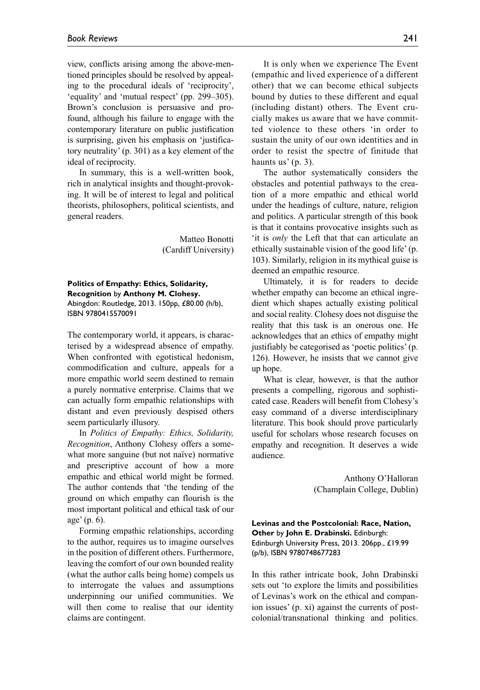view, conflicts arising among the above-mentioned principles should be resolved by appealing to the procedural ideals of 'reciprocity', 'equality' and 'mutual respect' (pp. 299–305). Brown's conclusion is persuasive and profound, although his failure to engage with the contemporary literature on public justification is surprising, given his emphasis on 'justificatory neutrality' (p. 301) as a key element of the ideal of reciprocity.

In summary, this is a well-written book, rich in analytical insights and thought-provoking. It will be of interest to legal and political theorists, philosophers, political scientists, and general readers.

> Matteo Bonotti (Cardiff University)

**Politics of Empathy: Ethics, Solidarity, Recognition** by **Anthony M. Clohesy.** Abingdon: Routledge, 2013. 150pp, £80.00 (h/b), ISBN 9780415570091

The contemporary world, it appears, is characterised by a widespread absence of empathy. When confronted with egotistical hedonism, commodification and culture, appeals for a more empathic world seem destined to remain a purely normative enterprise. Claims that we can actually form empathic relationships with distant and even previously despised others seem particularly illusory.

In *Politics of Empathy: Ethics, Solidarity, Recognition*, Anthony Clohesy offers a somewhat more sanguine (but not naïve) normative and prescriptive account of how a more empathic and ethical world might be formed. The author contends that 'the tending of the ground on which empathy can flourish is the most important political and ethical task of our age' (p. 6).

Forming empathic relationships, according to the author, requires us to imagine ourselves in the position of different others. Furthermore, leaving the comfort of our own bounded reality (what the author calls being home) compels us to interrogate the values and assumptions underpinning our unified communities. We will then come to realise that our identity claims are contingent.

It is only when we experience The Event (empathic and lived experience of a different other) that we can become ethical subjects bound by duties to these different and equal (including distant) others. The Event crucially makes us aware that we have committed violence to these others 'in order to sustain the unity of our own identities and in order to resist the spectre of finitude that haunts us' (p. 3).

The author systematically considers the obstacles and potential pathways to the creation of a more empathic and ethical world under the headings of culture, nature, religion and politics. A particular strength of this book is that it contains provocative insights such as 'it is *only* the Left that that can articulate an ethically sustainable vision of the good life' (p. 103). Similarly, religion in its mythical guise is deemed an empathic resource.

Ultimately, it is for readers to decide whether empathy can become an ethical ingredient which shapes actually existing political and social reality. Clohesy does not disguise the reality that this task is an onerous one. He acknowledges that an ethics of empathy might justifiably be categorised as 'poetic politics' (p. 126). However, he insists that we cannot give up hope.

What is clear, however, is that the author presents a compelling, rigorous and sophisticated case. Readers will benefit from Clohesy's easy command of a diverse interdisciplinary literature. This book should prove particularly useful for scholars whose research focuses on empathy and recognition. It deserves a wide audience.

> Anthony O'Halloran (Champlain College, Dublin)

**Levinas and the Postcolonial: Race, Nation, Other** by **John E. Drabinski.** Edinburgh: Edinburgh University Press, 2013. 206pp., £19.99 (p/b), ISBN 9780748677283

In this rather intricate book, John Drabinski sets out 'to explore the limits and possibilities of Levinas's work on the ethical and companion issues' (p. xi) against the currents of postcolonial/transnational thinking and politics.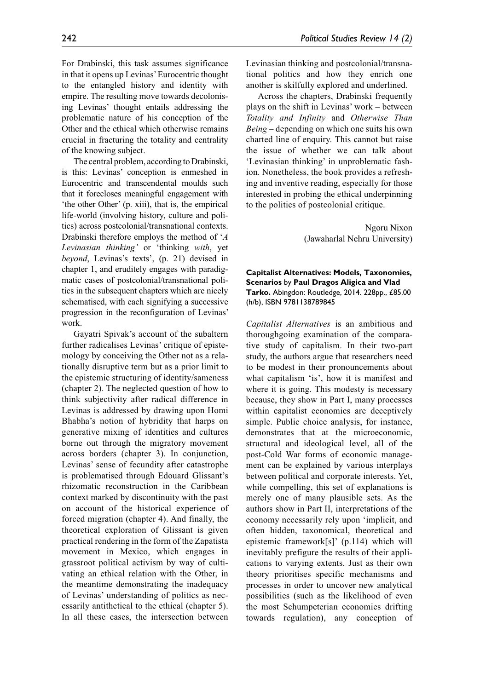For Drabinski, this task assumes significance in that it opens up Levinas' Eurocentric thought to the entangled history and identity with empire. The resulting move towards decolonising Levinas' thought entails addressing the problematic nature of his conception of the Other and the ethical which otherwise remains crucial in fracturing the totality and centrality of the knowing subject.

The central problem, according to Drabinski, is this: Levinas' conception is enmeshed in Eurocentric and transcendental moulds such that it forecloses meaningful engagement with 'the other Other' (p. xiii), that is, the empirical life-world (involving history, culture and politics) across postcolonial/transnational contexts. Drabinski therefore employs the method of '*A Levinasian thinking'* or 'thinking *with*, yet *beyond*, Levinas's texts', (p. 21) devised in chapter 1, and eruditely engages with paradigmatic cases of postcolonial/transnational politics in the subsequent chapters which are nicely schematised, with each signifying a successive progression in the reconfiguration of Levinas' work.

Gayatri Spivak's account of the subaltern further radicalises Levinas' critique of epistemology by conceiving the Other not as a relationally disruptive term but as a prior limit to the epistemic structuring of identity/sameness (chapter 2). The neglected question of how to think subjectivity after radical difference in Levinas is addressed by drawing upon Homi Bhabha's notion of hybridity that harps on generative mixing of identities and cultures borne out through the migratory movement across borders (chapter 3). In conjunction, Levinas' sense of fecundity after catastrophe is problematised through Edouard Glissant's rhizomatic reconstruction in the Caribbean context marked by discontinuity with the past on account of the historical experience of forced migration (chapter 4). And finally, the theoretical exploration of Glissant is given practical rendering in the form of the Zapatista movement in Mexico, which engages in grassroot political activism by way of cultivating an ethical relation with the Other, in the meantime demonstrating the inadequacy of Levinas' understanding of politics as necessarily antithetical to the ethical (chapter 5). In all these cases, the intersection between

Levinasian thinking and postcolonial/transnational politics and how they enrich one another is skilfully explored and underlined.

Across the chapters, Drabinski frequently plays on the shift in Levinas' work – between *Totality and Infinity* and *Otherwise Than Being* – depending on which one suits his own charted line of enquiry. This cannot but raise the issue of whether we can talk about 'Levinasian thinking' in unproblematic fashion. Nonetheless, the book provides a refreshing and inventive reading, especially for those interested in probing the ethical underpinning to the politics of postcolonial critique.

> Ngoru Nixon (Jawaharlal Nehru University)

**Capitalist Alternatives: Models, Taxonomies, Scenarios** by **Paul Dragos Aligica and Vlad Tarko.** Abingdon: Routledge, 2014. 228pp., £85.00 (h/b), ISBN 9781138789845

*Capitalist Alternatives* is an ambitious and thoroughgoing examination of the comparative study of capitalism. In their two-part study, the authors argue that researchers need to be modest in their pronouncements about what capitalism 'is', how it is manifest and where it is going. This modesty is necessary because, they show in Part I, many processes within capitalist economies are deceptively simple. Public choice analysis, for instance, demonstrates that at the microeconomic, structural and ideological level, all of the post-Cold War forms of economic management can be explained by various interplays between political and corporate interests. Yet, while compelling, this set of explanations is merely one of many plausible sets. As the authors show in Part II, interpretations of the economy necessarily rely upon 'implicit, and often hidden, taxonomical, theoretical and epistemic framework[s]' (p.114) which will inevitably prefigure the results of their applications to varying extents. Just as their own theory prioritises specific mechanisms and processes in order to uncover new analytical possibilities (such as the likelihood of even the most Schumpeterian economies drifting towards regulation), any conception of